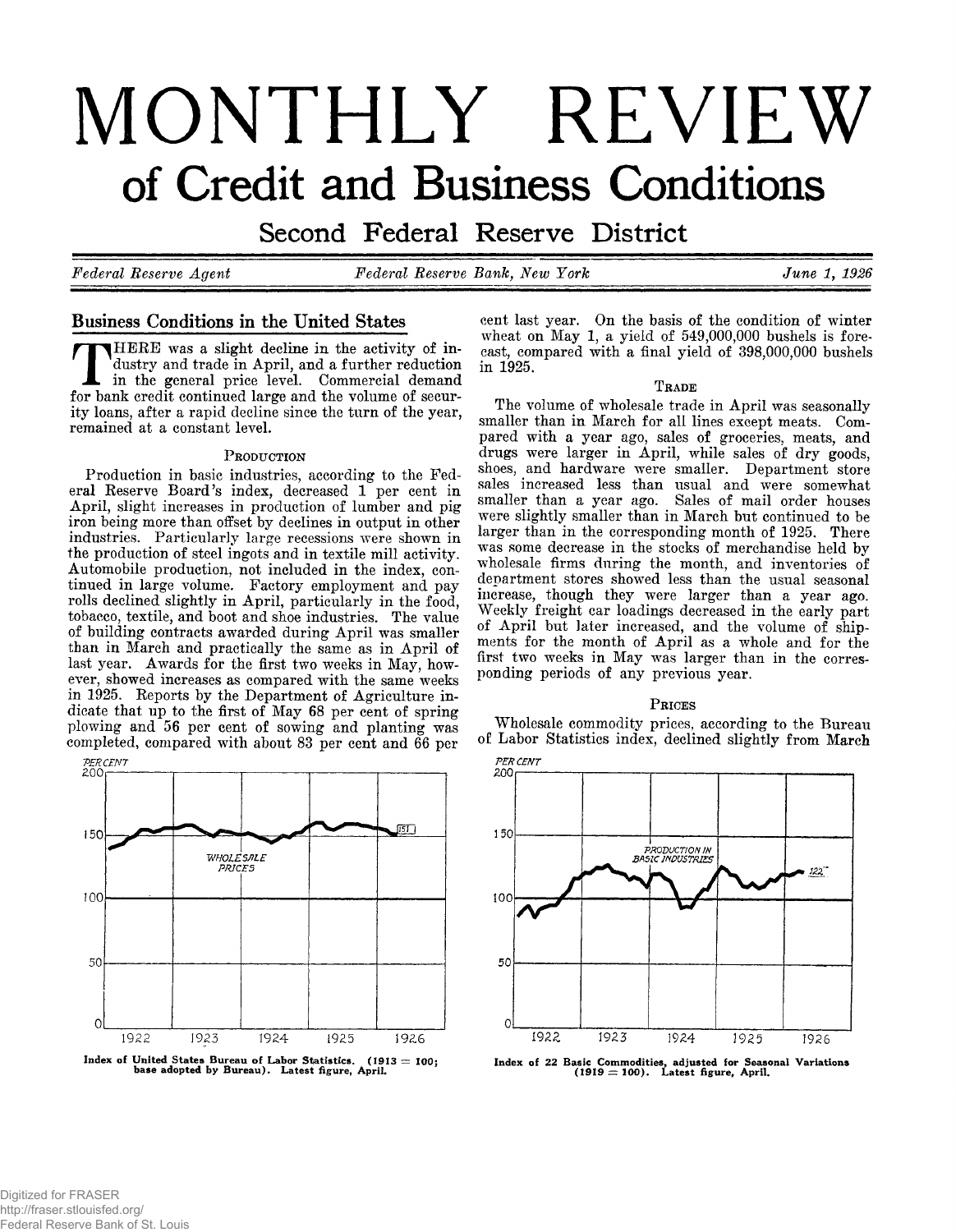# **MONTHLY REVIEW of Credit and Business Conditions**

Second Federal Reserve District

*Federal Reserve Agent Federal Reserve Bank, New York June 1, 1926*

# Business Conditions in the United States

HERE was a slight decline in the activity of industry and trade in April, and a further reduction in the general price level. Commercial demand for bank credit continued large and the volume of security loans, after a rapid decline since the turn of the year, remained at a constant level.

### PRODUCTION

Production in basic industries, according to the Federal Reserve Board's index, decreased 1 per cent in April, slight increases in production of lumber and pig iron being more than offset by declines in output in other industries. Particularly large recessions were shown in the production of steel ingots and in textile mill activity. Automobile production, not included in the index, continued in large volume. Factory employment and pay rolls declined slightly in April, particularly in the food, tobacco, textile, and boot and shoe industries. The value of building contracts awarded during A pril was smaller than in March and practically the same as in April of last year. Awards for the first two weeks in May, however, showed increases as compared with the same weeks in 1925. Reports by the Department of Agriculture indicate that up to the first of May 68 per cent of spring plowing and 56 per cent of sowing and planting was completed, compared with about 83 per cent and 66 per



cent last year. On the basis of the condition of winter wheat on May 1, a yield of 549,000,000 bushels is forecast, compared with a final yield of 398,000,000 bushels in 1925.

### TRADE

The volume of wholesale trade in April was seasonally smaller than in March for all lines except meats. Compared with a year ago, sales of groceries, meats, and drugs were larger in April, while sales of dry goods, shoes, and hardware were smaller. Department store sales increased less than usual and were somewhat smaller than a year ago. Sales of mail order houses were slightly smaller than in March but continued to be larger than in the corresponding month of 1925. There was some decrease in the stocks of merchandise held by wholesale firms during the month, and inventories of department stores showed less than the usual seasonal increase, though they were larger than a year ago. Weekly freight car loadings decreased in the early part of April but later increased, and the volume of shipments for the month of April as a whole and for the first two weeks in May was larger than in the corresponding periods of any previous year.

### PRICES

Wholesale commodity prices, according to the Bureau of Labor Statistics index, declined slightly from March



**Index of 22 Basic Commodities, adjusted for Seasonal Variations (1919 = 100). Latest figure, April.**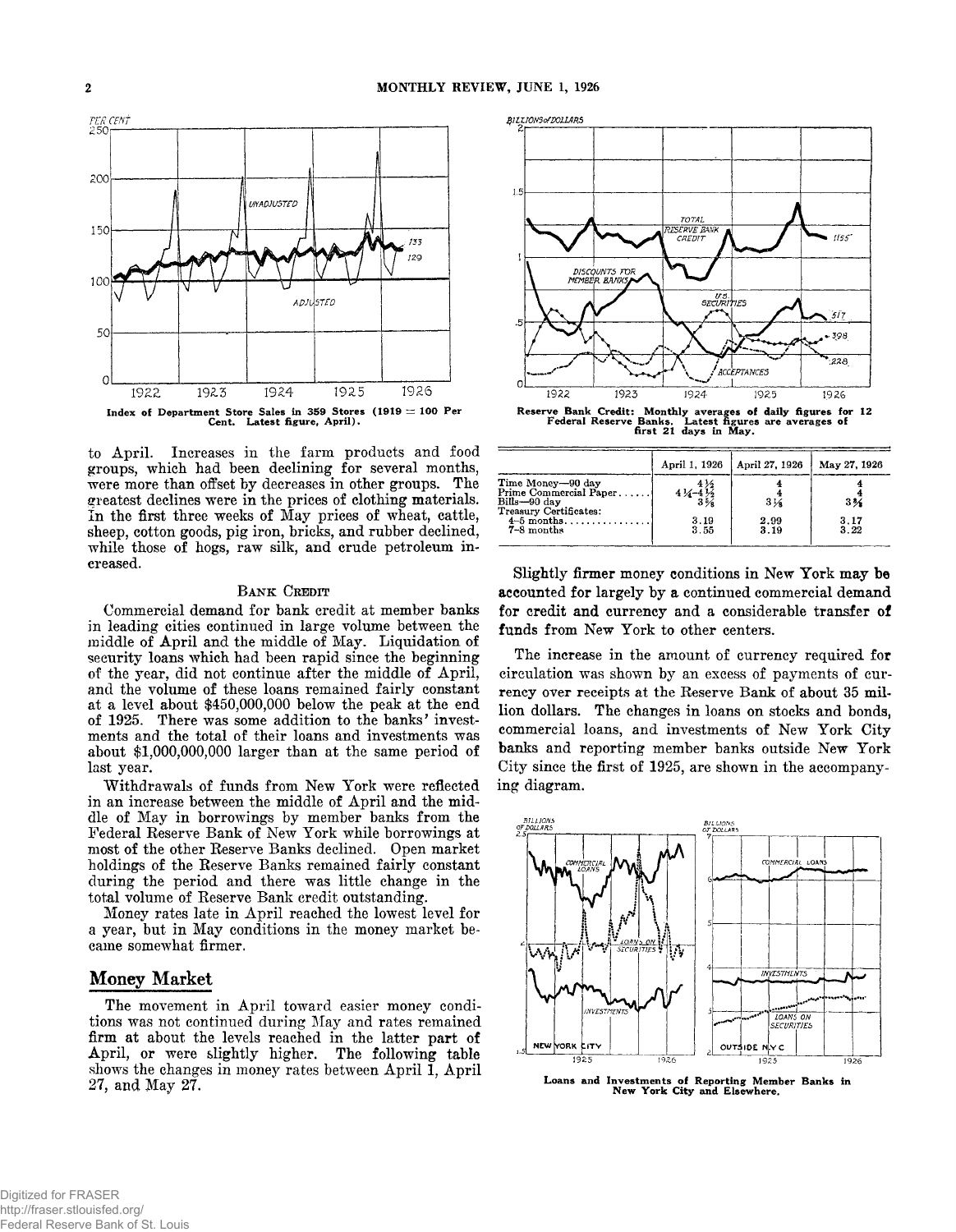

to April. Increases in the farm products and food groups, which had been declining for several months, were more than offset by decreases in other groups. The greatest declines were in the prices of clothing materials. In the first three weeks of May prices of wheat, cattle, sheep, cotton goods, pig iron, bricks, and rubber declined, while those of hogs, raw silk, and crude petroleum increased.

### BANK CREDIT

Commercial demand for bank credit at member banks in leading cities continued in large volume between the middle of April and the middle of May. Liquidation of security loans which had been rapid since the beginning of the year, did not continue after the middle of April, and the volume of these loans remained fairly constant at a level about \$450,000,000 below the peak at the end of 1925. There was some addition to the banks' investments and the total of their loans and investments was about \$1,000,000,000 larger than at the same period of last year.

Withdrawals of funds from New York were reflected in an increase between the middle of April and the middle of May in borrowings by member banks from the Federal Reserve Bank of New York while borrowings at most of the other Reserve Banks declined. Open market holdings of the Reserve Banks remained fairly constant during the period and there was little change in the total volume of Reserve Bank credit outstanding.

Money rates late in April reached the lowest level for a year, but in May conditions in the money market became somewhat firmer.

## Money Market

The movement in April toward easier money conditions was not continued during May and rates remained firm at about the levels reached in the latter part of April, or were slightly higher. The following table shows the changes in money rates between April 1, April 27, and May 27.



**Reserve Bank Credit: Monthly averages of daily figures for 12 Federal Reserve Banks. Latest figures are averages of first 21 days in May.**

|                                                                                       | April 1, 1926 | April 27, 1926  | May 27, 1926   |
|---------------------------------------------------------------------------------------|---------------|-----------------|----------------|
| Time Money-90 day<br>Prime Commercial Paper<br>Bills-90 day<br>Treasury Certificates: | 414<br>3%     | $3\,\mathrm{K}$ | 3 <sub>2</sub> |
| $4-5$ months<br>7-8 months                                                            | 3.19<br>3.55  | 2.99<br>3.19    | 3.17<br>3.22   |

Slightly firmer money conditions in New York may be accounted for largely by a continued commercial demand for credit and currency and a considerable transfer of funds from New York to other centers.

The increase in the amount of currency required for circulation was shown by an excess of payments of currency over receipts at the Reserve Bank of about 35 million dollars. The changes in loans on stocks and bonds, commercial loans, and investments of New York City banks and reporting member banks outside New York City since the first of 1925, are shown in the accompanying diagram.



Loans and Investments of Reporting Member Banks in New York City and Elsewhere.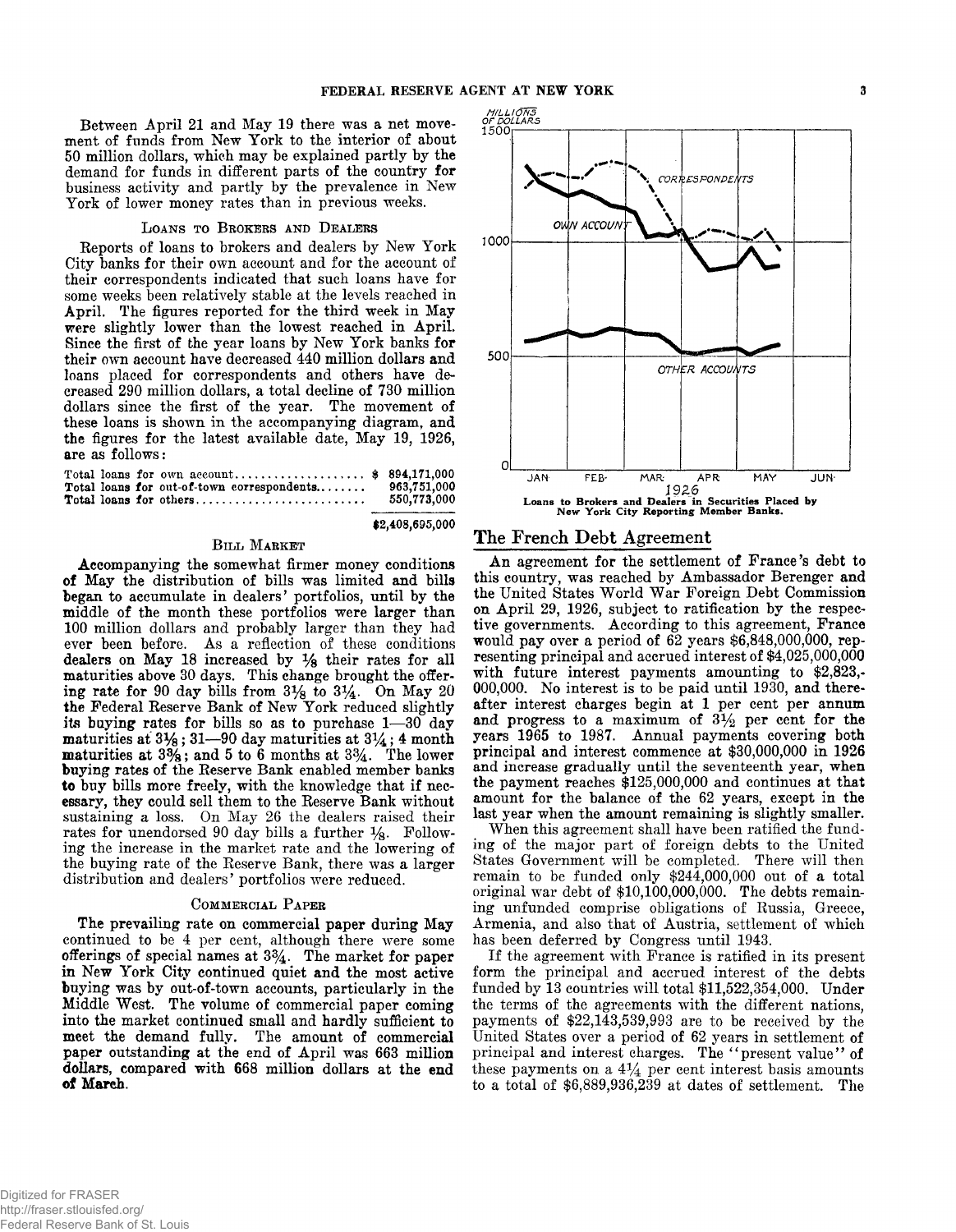**\$2,408,695,000**

Between April 21 and May 19 there was a net movement of funds from New York to the interior of about 50 million dollars, which may be explained partly by the demand for funds in different parts of the country for business activity and partly by the prevalence in New York of lower money rates than in previous weeks.

### LOANS TO BROKERS AND DEALERS

Reports of loans to brokers and dealers by New York City banks for their own account and for the account of their correspondents indicated that such loans have for some weeks been relatively stable at the levels reached in April. The figures reported for the third week in May were slightly lower than the lowest reached in April. Since the first of the year loans by New York banks for their own account have decreased 440 million dollars and loans placed for correspondents and others have decreased 290 million dollars, a total decline of 730 million dollars since the first of the year. The movement of these loans is shown in the accompanying diagram, and the figures for the latest available date, May 19, 1926, are as follows:

|  | Total loans for own $account$ \$ 894,171,000<br>Total loans for out-of-town correspondents 963,751,000<br>Total loans for others | 550,773,000 |
|--|----------------------------------------------------------------------------------------------------------------------------------|-------------|
|  |                                                                                                                                  |             |

### **BILL MARKET**

Accompanying the somewhat firmer money conditions of May the distribution of bills was limited and bills began to accumulate in dealers' portfolios, until by the middle of the month these portfolios were larger than 100 million dollars and probably larger than they had ever been before. As a reflection of these conditions dealers on May 18 increased by *Ys* their rates for all maturities above 30 days. This change brought the offering rate for 90 day bills from  $3\frac{1}{8}$  to  $3\frac{1}{4}$ . On May 20 the Federal Reserve Bank of New York reduced slightly its buying rates for bills so as to purchase 1— 30 day maturities at  $3\frac{1}{8}$ ; 31—90 day maturities at  $3\frac{1}{4}$ ; 4 month maturities at  $3\frac{3}{8}$ ; and 5 to 6 months at  $3\frac{3}{4}$ . The lower buying rates of the Reserve Bank enabled member banks to buy bills more freely, with the knowledge that if necessary, they could sell them to the Reserve Bank without sustaining a loss. On May 26 the dealers raised their rates for unendorsed 90 day bills a further  $\frac{1}{8}$ . Following the increase in the market rate and the lowering of the buying rate of the Reserve Bank, there was a larger distribution and dealers' portfolios were reduced.

### **COMMERCIAL PAPER**

The prevailing rate on commercial paper during May continued to be 4 per cent, although there were some offerings of special names at *3%.* The market for paper in New York City continued quiet and the most active buying was by out-of-town accounts, particularly in the Middle West. The volume of commercial paper coming into the market continued small and hardly sufficient to meet the demand fully. The amount of commercial paper outstanding at the end of April was 663 million dollars, compared with 668 million dollars at the end of March.



# The French Debt Agreement

An agreement for the settlement of France's debt to this country, was reached by Ambassador Berenger and the United States World War Foreign Debt Commission on April 29, 1926, subject to ratification by the respective governments. According to this agreement, France would pay over a period of 62 years \$6,848,000,000, representing principal and accrued interest of \$4,025,000,000 with future interest payments amounting to \$2,823,- 000,000. No interest is to be paid until 1930, and thereafter interest charges begin at 1 per cent per annum and progress to a maximum of  $3\frac{1}{2}$  per cent for the years 1965 to 1987. Annual payments covering both principal and interest commence at \$30,000,000 in 1926 and increase gradually until the seventeenth year, when the payment reaches \$125,000,000 and continues at that amount for the balance of the 62 years, except in the last year when the amount remaining is slightly smaller.

When this agreement shall have been ratified the funding of the major part of foreign debts to the United States Government will be completed. There will then remain to be funded only \$244,000,000 out of a total original war debt of \$10,100,000,000. The debts remaining unfunded comprise obligations of Russia, Greece, Armenia, and also that of Austria, settlement of which has been deferred by Congress until 1943.

If the agreement with France is ratified in its present form the principal and accrued interest of the debts funded by 13 countries will total \$11,522,354,000. Under the terms of the agreements with the different nations, payments of \$22,143,539,993 are to be received by the United States over a period of 62 years in settlement of principal and interest charges. The "present value" of these payments on a *4%* per cent interest basis amounts to a total of \$6,889,936,239 at dates of settlement. The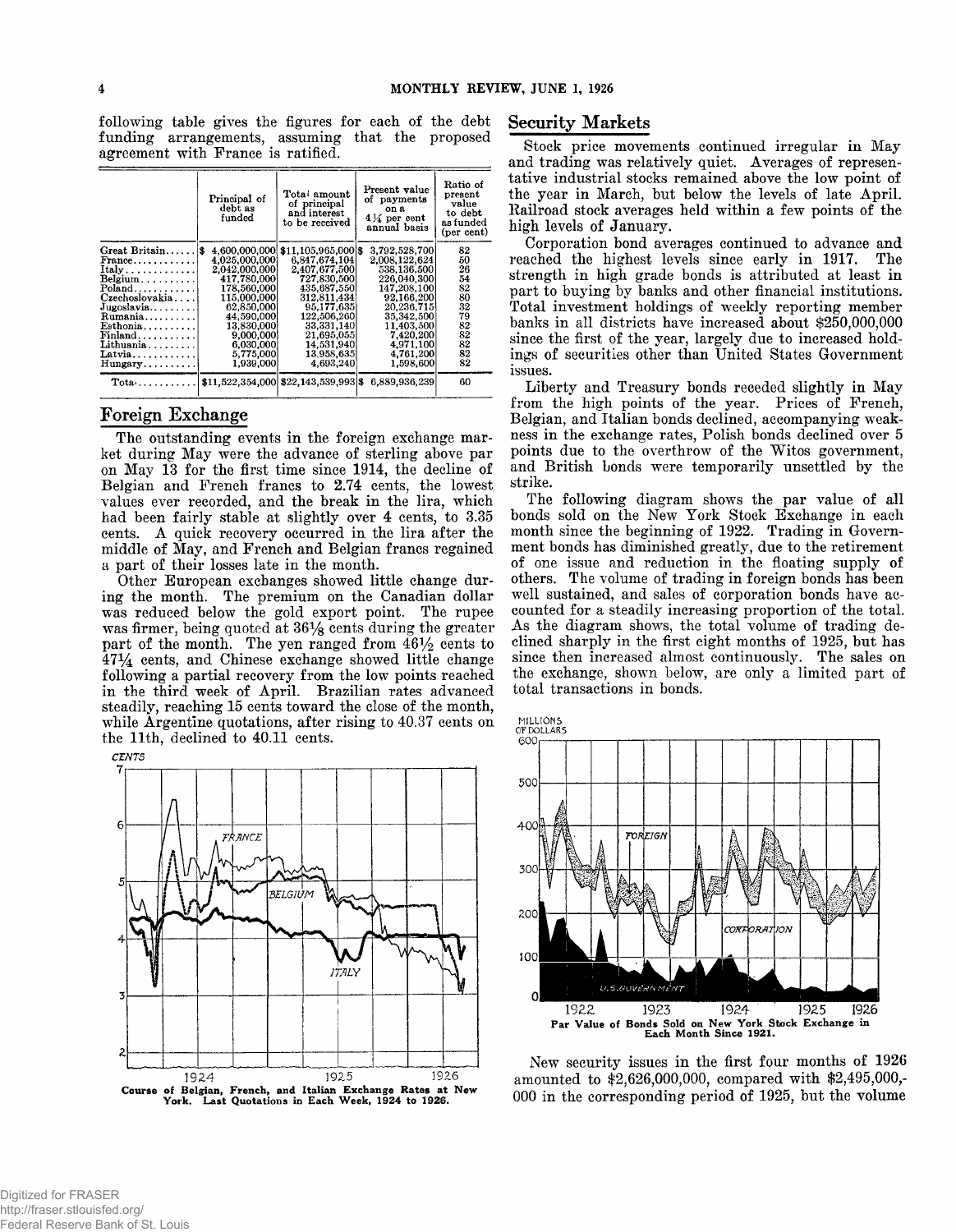following table gives the figures for each of the debt Security Markets funding arrangements, assuming that the proposed agreement with France is ratified.

|                                         | Principal of<br>debt as<br>funded | Total amount<br>of principal<br>and interest<br>to be received | Present value<br>of payments<br>on a<br>$4\%$ per cent<br>annual basis | Ratio of<br>present<br>value<br>to debt<br>as funded<br>(per cent) |
|-----------------------------------------|-----------------------------------|----------------------------------------------------------------|------------------------------------------------------------------------|--------------------------------------------------------------------|
| Great Britain $\frac{1}{3}$             | 4.600.000.000                     | $$11.105.965.000$ \$                                           | 3.792.528.700                                                          | 82                                                                 |
| $\text{France} \dots \dots \dots \dots$ | 4.025.000.0001                    | 6.847.674.104                                                  | 2.008.122.624                                                          | 50                                                                 |
| $Itally \ldots $                        | 2.042.000.000                     | 2,407,677,500                                                  | 538.136.500                                                            | 26                                                                 |
| $Belgium \ldots \ldots \ldots$          | 417.780.000                       | 727.830.500                                                    | 226.040.300                                                            | 54                                                                 |
| Poland                                  | 178.560.000                       | 435.687.550                                                    | 147,208,100                                                            | 82                                                                 |
| $C$ zechoslovakia                       | 115,000,000                       | 312.811.434                                                    | 92.166.200                                                             | 80                                                                 |
| Jugoslavia                              | 62.850.000                        | 95.177.635                                                     | 20.236.715                                                             | 32                                                                 |
| $Rumania$                               | 44,590,000                        | 122.506.260                                                    | 35,342,500                                                             | 79                                                                 |
| Esthonia                                | 13.830.000                        | 33,331,140                                                     | 11.403,500                                                             | 82                                                                 |
| $\mathbf{Finland.}\ldots\ldots\ldots$   | 9,000,000                         | 21,695,055                                                     | 7,420,200                                                              | 82                                                                 |
| Lithuania                               | 6,030,000                         | 14,531,940                                                     | 4,971,100                                                              | 82                                                                 |
| Latvia                                  | 5,775,000                         | 13.958.635                                                     | 4,761,200                                                              | 82                                                                 |
| Hungary                                 | 1.939.000                         | 4.693,240                                                      | 1,598,600                                                              | 82                                                                 |
| $\text{Total} \ldots \ldots \ldots$     |                                   | $$11,522,354,000$ $$22,143,539,993$ \$                         | 6.889.936.239                                                          | 60                                                                 |

## Foreign Exchange

The outstanding events in the foreign exchange market during May were the advance of sterling above par on May 13 for the first time since 1914, the decline of Belgian and French francs to 2.74 cents, the lowest values ever recorded, and the break in the lira, which had been fairly stable at slightly over 4 cents, to 3.35 cents. A quick recovery occurred in the lira after the middle of May, and French and Belgian francs regained a part of their losses late in the month.

Other European exchanges showed little change during the month. The premium on the Canadian dollar was reduced below the gold export point. The rupee was firmer, being quoted at  $36\frac{1}{8}$  cents during the greater part of the month. The yen ranged from  $46\frac{1}{2}$  cents to  $47\frac{1}{4}$  cents, and Chinese exchange showed little change following a partial recovery from the low points reached in the third week of April. Brazilian rates advanced steadily, reaching 15 cents toward the close of the month, while Argentine quotations, after rising to 40.37 cents on the 11th, declined to 40.11 cents.



Stock price movements continued irregular in May and trading was relatively quiet. Averages of representative industrial stocks remained above the low point of the year in March, but below the levels of late April. Railroad stock averages held within a few points of the high levels of January.

Corporation bond averages continued to advance and reached the highest levels since early in 1917. The strength in high grade bonds is attributed at least in part to buying by banks and other financial institutions. Total investment holdings of weekly reporting member banks in all districts have increased about \$250,000,000 since the first of the year, largely due to increased holdings of securities other than United States Government issues.

Liberty and Treasury bonds receded slightly in May from the high points of the year. Prices of French, Belgian, and Italian bonds declined, accompanying weakness in the exchange rates, Polish bonds declined over 5 points due to the overthrow of the Witos government, and British bonds were temporarily unsettled by the strike.

The following diagram shows the par value of all bonds sold on the New York Stock Exchange in each month since the beginning of 1922. Trading in Government bonds has diminished greatly, due to the retirement of one issue and reduction in the floating supply of others. The volume of trading in foreign bonds has been well sustained, and sales of corporation bonds have accounted for a steadily increasing proportion of the total. As the diagram shows, the total volume of trading declined sharply in the first eight months of 1925, but has since then increased almost continuously. The sales on the exchange, shown below, are only a limited part of total transactions in bonds.





New security issues in the first four months of 1926 amounted to \$2,626,000,000, compared with \$2,495,000,- 000 in the corresponding period of 1925, but the volume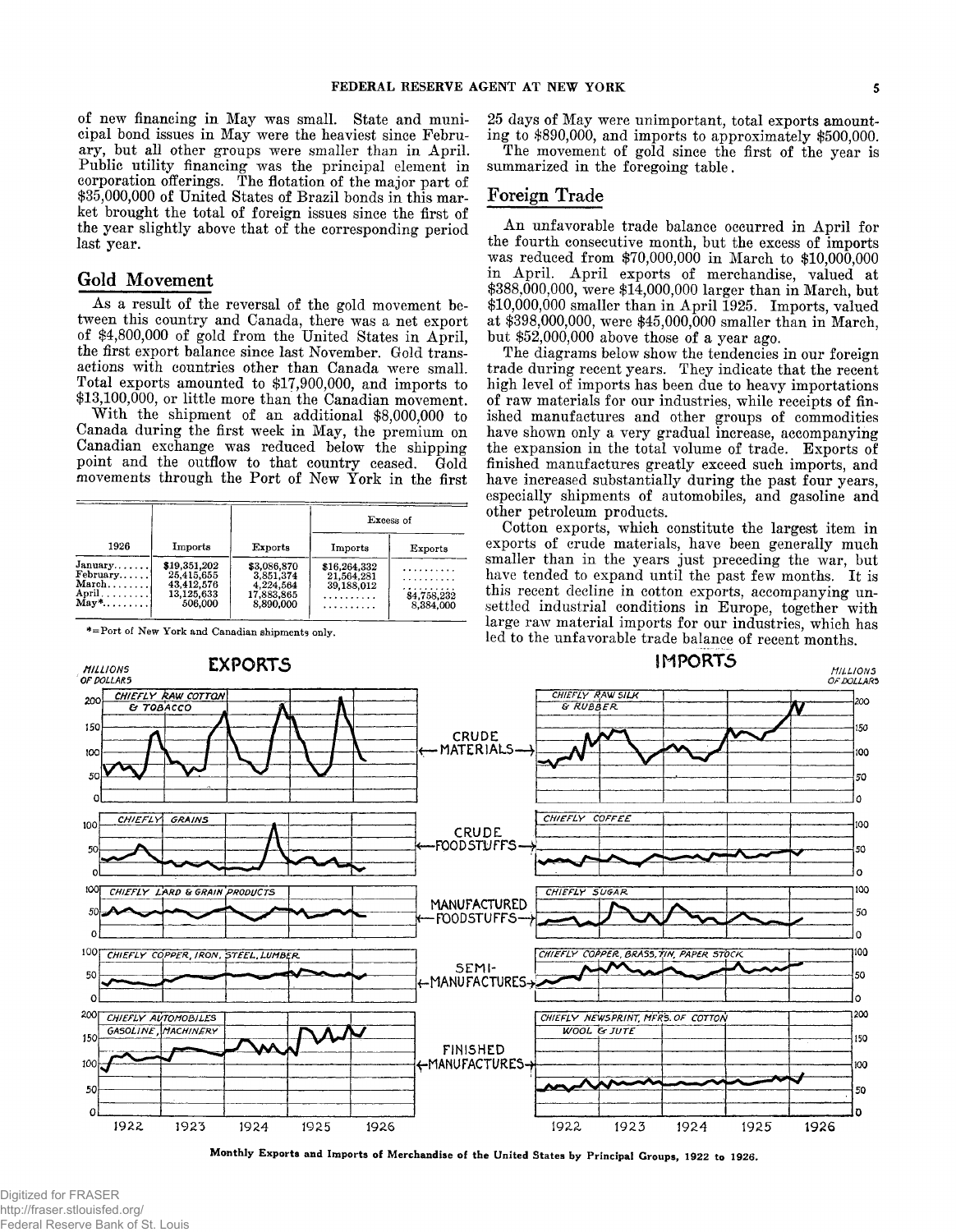of new financing in May was small. State and municipal bond issues in May were the heaviest since February, but all other groups were smaller than in April. Public utility financing was the principal element in corporation offerings. The flotation of the major part of \$35,000,000 of United States of Brazil bonds in this market brought the total of foreign issues since the first of the year slightly above that of the corresponding period last year.

# Gold Movement

As a result of the reversal of the gold movement between this country and Canada, there was a net export of \$4,800,000 of gold from the United States in April, the first export balance since last November. Gold transactions with countries other than Canada were small. Total exports amounted to \$17,900,000, and imports to \$13,100,000, or little more than the Canadian movement.

With the shipment of an additional \$8,000,000 to Canada during the first week in May, the premium on Canadian exchange was reduced below the shipping point and the outflow to that country ceased. Gold movements through the Port of New York in the first

|                                                                      |                                                                   |                                                                  | Excess of                                     |                                    |  |
|----------------------------------------------------------------------|-------------------------------------------------------------------|------------------------------------------------------------------|-----------------------------------------------|------------------------------------|--|
| 1926                                                                 | Imports                                                           | Exports                                                          | Imports                                       | Exports                            |  |
| $January \ldots$ .<br>February<br>March<br>$\text{May*} \dots \dots$ | \$19,351,202<br>25,415,655<br>43.412.576<br>13,125,633<br>506,000 | \$3,086,870<br>3.851.374<br>4.224.564<br>17,883,865<br>8,890,000 | \$16,264,332<br>21,564,281<br>39.188.012<br>. | .<br>.<br>\$4,758,232<br>8.384.000 |  |

**\*=Port of New York and Canadian shipments only.**

25 days of May were unimportant, total exports amounting to \$890,000, and imports to approximately \$500,000.

The movement of gold since the first of the year is summarized in the foregoing table.

# Foreign Trade

An unfavorable trade balance occurred in April for the fourth consecutive month, but the excess of imports was reduced from \$70,000,000 in March to \$10,000,000 in April. April exports of merchandise, valued at \$388,000,000, were \$14,000,000 larger than in March, but \$10,000,000 smaller than in April 1925. Imports, valued at \$398,000,000, were \$45,000,000 smaller than in March, but \$52,000,000 above those of a year ago.

The diagrams below show the tendencies in our foreign trade during recent years. They indicate that the recent high level of imports has been due to heavy importations of raw materials for our industries, while receipts of finished manufactures and other groups of commodities have shown only a very gradual increase, accompanying the expansion in the total volume of trade. Exports of finished manufactures greatly exceed such imports, and have increased substantially during the past four years, especially shipments of automobiles, and gasoline and other petroleum products.

Cotton exports, which constitute the largest item in exports of crude materials, have been generally much smaller than in the years just preceding the war, but have tended to expand until the past few months. It is this recent decline in cotton exports, accompanying unsettled industrial conditions in Europe, together with large raw material imports for our industries, which has led to the unfavorable trade balance of recent months.



**Monthly Exports and Imports of Merchandise of the United States by Principal Groups, 1922 to 1926.**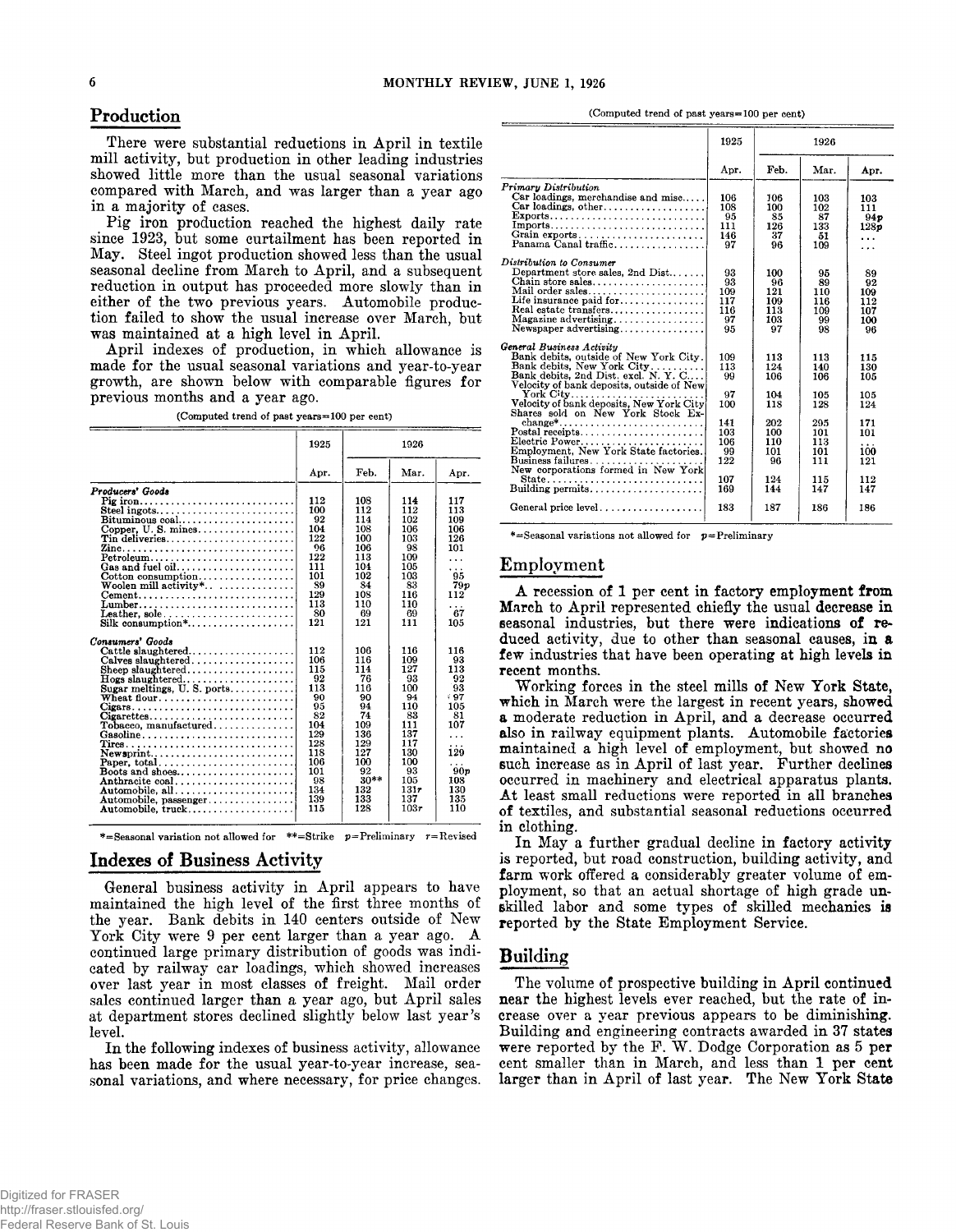There were substantial reductions in April in textile mill activity, but production in other leading industries showed little more than the usual seasonal variations compared with March, and was larger than a year ago in a majority of cases.

Pig iron production reached the highest daily rate since 1923, but some curtailment has been reported in May. Steel ingot production showed less than the usual seasonal decline from March to April, and a subsequent reduction in output has proceeded more slowly than in either of the two previous years. Automobile production failed to show the usual increase over March, but was maintained at a high level in April.

April indexes of production, in which allowance is made for the usual seasonal variations and year-to-year growth, are shown below with comparable figures for previous months and a year ago.

**(Computed trend of past years=100 per cent)**

|                                                                            | 1925      |           | 1926      |            |
|----------------------------------------------------------------------------|-----------|-----------|-----------|------------|
|                                                                            | Apr.      | Feb.      | Mar.      | Apr.       |
| Producers' Goods                                                           |           |           |           |            |
| Pig iron                                                                   | 112       | 108       | 114       | 117        |
| Steel ingots                                                               | 100       | 112       | 112       | 113        |
|                                                                            | 92        | 114       | 102       | 109        |
|                                                                            | 104       | 108       | 106       | 106        |
| Tin deliveries                                                             | 122       | 100       | 103       | 126        |
|                                                                            | 96        | 106       | 98        | 101        |
| Petroleum                                                                  | 122       | 113       | 109       | .          |
| Gas and fuel oil                                                           | 111       | 104       | 105       | .          |
| $\text{Cottom consumption} \dots \dots \dots \dots \dots$                  | 101       | 102       | 103       | 95         |
| Woolen mill activity*                                                      | 89        | 84        | 83        | 79 p       |
| $Cement \dots \dots \dots \dots \dots \dots \dots \dots \dots \dots \dots$ | 129       | 108       | 116       | 112        |
| Lumber                                                                     | 113       | 110       | 110       | . .        |
| Leather, sole                                                              | 80        | 69        | 69        | 67         |
| Silk consumption*                                                          | 121       | 121       | 111       | 105        |
|                                                                            |           |           |           |            |
| Consumers' Goods                                                           |           |           |           |            |
| $Cattle$ slaughtered                                                       | 112       | 106       | 116       | 116        |
| $Calves slauzhtered. \ldots \ldots \ldots \ldots \ldots$                   | 106       | 116       | 109       | 93         |
| $\mathbf{Sheep\;slaughtered.}\dots\dots\dots\dots\dots\dots\dots$          | 115       | 114       | 127       | 113        |
| $\textbf{Hogs}$ slaughtered                                                | 92        | 76        | 93        | 92         |
| Sugar meltings, U.S. ports                                                 | 113       | 116       | 100       | 93         |
|                                                                            | 90        | 90        | 94        | 97         |
|                                                                            | 95        | 94        | 110       | 105        |
| $Cigare ttes \ldots \ldots \ldots \ldots \ldots \ldots \ldots \ldots$      | 82        | 74        | 83        | 81         |
| $To baseo.$ manufactured                                                   | 104       | 109       | 111       | 107        |
| Gasoline                                                                   | 129       | 136       | 137       | .          |
|                                                                            | 128       | 129       | 117       | .          |
| $New$ sprint                                                               | 118       | 127       | 130       | 129        |
| Paper, total                                                               | 106       | 100<br>92 | 100<br>93 |            |
| Boots and shoes                                                            | 101<br>98 | $30**$    | 105       | 90p<br>108 |
| Anthracite coal                                                            | 134       | 132       | 131r      | 130        |
|                                                                            | 139       | 133       | 137       | 135        |
| Automobile, passenger                                                      | 115       | 128       | 103r      | 110        |
| Automobile, truck                                                          |           |           |           |            |
|                                                                            |           |           |           |            |

**\*= Seasonal variation not allowed for \*\*=Strike p=Preliminary r=Revised**

# Indexes of Business Activity

General business activity in April appears to have maintained the high level of the first three months of the year. Bank debits in 140 centers outside of New York City were 9 per cent larger than a year ago. A continued large primary distribution of goods was indicated by railway car loadings, which showed increases over last year in most classes of freight. Mail order sales continued larger than a year ago, but April sales at department stores declined slightly below last year's level.

In the following indexes of business activity, allowance has been made for the usual year-to-year increase, seasonal variations, and where necessary, for price changes.

**Production** (Computed trend of past years=100 per cent)

|                                                                                            | 1925       |            | 1926       |          |
|--------------------------------------------------------------------------------------------|------------|------------|------------|----------|
|                                                                                            | Apr.       | Feb.       | Mar.       | Apr.     |
| <b>Primary Distribution</b>                                                                |            |            |            |          |
| Car loadings, merchandise and misc                                                         | 106        | 106        | 103        | 103      |
|                                                                                            | 108        | 100        | 102        | 111      |
| $Exports$                                                                                  | 95         | 85         | 87         | 94p      |
| Imports                                                                                    | 111        | 126        | 133        | 128 p    |
| Grain exports<br>Panama Canal traffic                                                      | 146<br>97  | 37<br>96   | 51<br>109  | .        |
|                                                                                            |            |            |            | .        |
| Distribution to Consumer                                                                   |            |            |            |          |
| Department store sales, 2nd Dist                                                           | 93         | 100        | 95         | 89       |
| Chain store sales                                                                          | 93         | 96         | 89         | 92       |
| Mail order sales                                                                           | 109        | 121        | 110        | 109      |
| Life insurance paid for                                                                    | 117        | 109        | 116        | 112      |
| Real estate transfers                                                                      | 116        | 113        | 109        | 107      |
|                                                                                            | 97         | 103        | 99         | 100      |
| Newspaper advertising                                                                      | 95         | 97         | 98         | 96       |
| General Business Activity                                                                  |            |            |            |          |
| Bank debits, outside of New York City.                                                     | 109        | 113        | 113        | 115      |
| Bank debits, New York City                                                                 | 113        | 124        | 140        | 130      |
| Bank debits, 2nd Dist. excl. N. Y. C                                                       | 99         | 106        | 106        | 105      |
| Velocity of bank deposits, outside of New                                                  |            |            |            |          |
| ${\bf York}$ ${\bf City} \dots \dots$                                                      | 97         | 104        | 105        | 105      |
| Velocity of bank deposits, New York City                                                   | 100        | 118        | 128        | 124      |
| Shares sold on New York Stock Ex-                                                          |            |            |            |          |
| $change^*$                                                                                 | 141<br>103 | 202<br>100 | 295        | 171      |
| $\text{Postal receipts} \dots \dots \dots \dots \dots \dots \dots \dots$<br>Electric Power | 106        | 110        | 101<br>113 | 101      |
| Employment, New York State factories.                                                      | 99         | 101        | 101        | .<br>100 |
| $B$ usiness failures                                                                       | 122        | 96         | 111        | 121      |
| New corporations formed in New York                                                        |            |            |            |          |
|                                                                                            | 107        | 124        | 115        | 112      |
| Building permits                                                                           | 169        | 144        | 147        | 147      |
|                                                                                            |            |            |            |          |
| General price level                                                                        | 183        | 187        | 186        | 186      |
|                                                                                            |            |            |            |          |

**\*=Seasonal variations not allowed for p=Preliminary**

### Employment

A recession of 1 per cent in factory employment from March to April represented chiefly the usual decrease in seasonal industries, but there were indications of reduced activity, due to other than seasonal causes, in a few industries that have been operating at high levels in recent months.

W orking forces in the steel mills of New York State, which in March were the largest in recent years, showed a moderate reduction in April, and a decrease occurred also in railway equipment plants. Automobile factories maintained a high level of employment, but showed no such increase as in April of last year. Further declines occurred in machinery and electrical apparatus plants. At least small reductions were reported in all branches of textiles, and substantial seasonal reductions occurred in clothing.

In May a further gradual decline in factory activity is reported, but road construction, building activity, and farm work offered a considerably greater volume of employment, so that an actual shortage of high grade unskilled labor and some types of skilled mechanics is reported by the State Employment Service.

### **Building**

The volume of prospective building in April continued near the highest levels ever reached, but the rate of increase over a year previous appears to be diminishing. Building and engineering contracts awarded in 37 states were reported by the F. W. Dodge Corporation as  $5$  per cent smaller than in March, and less than 1 per cent larger than in April of last year. The New York State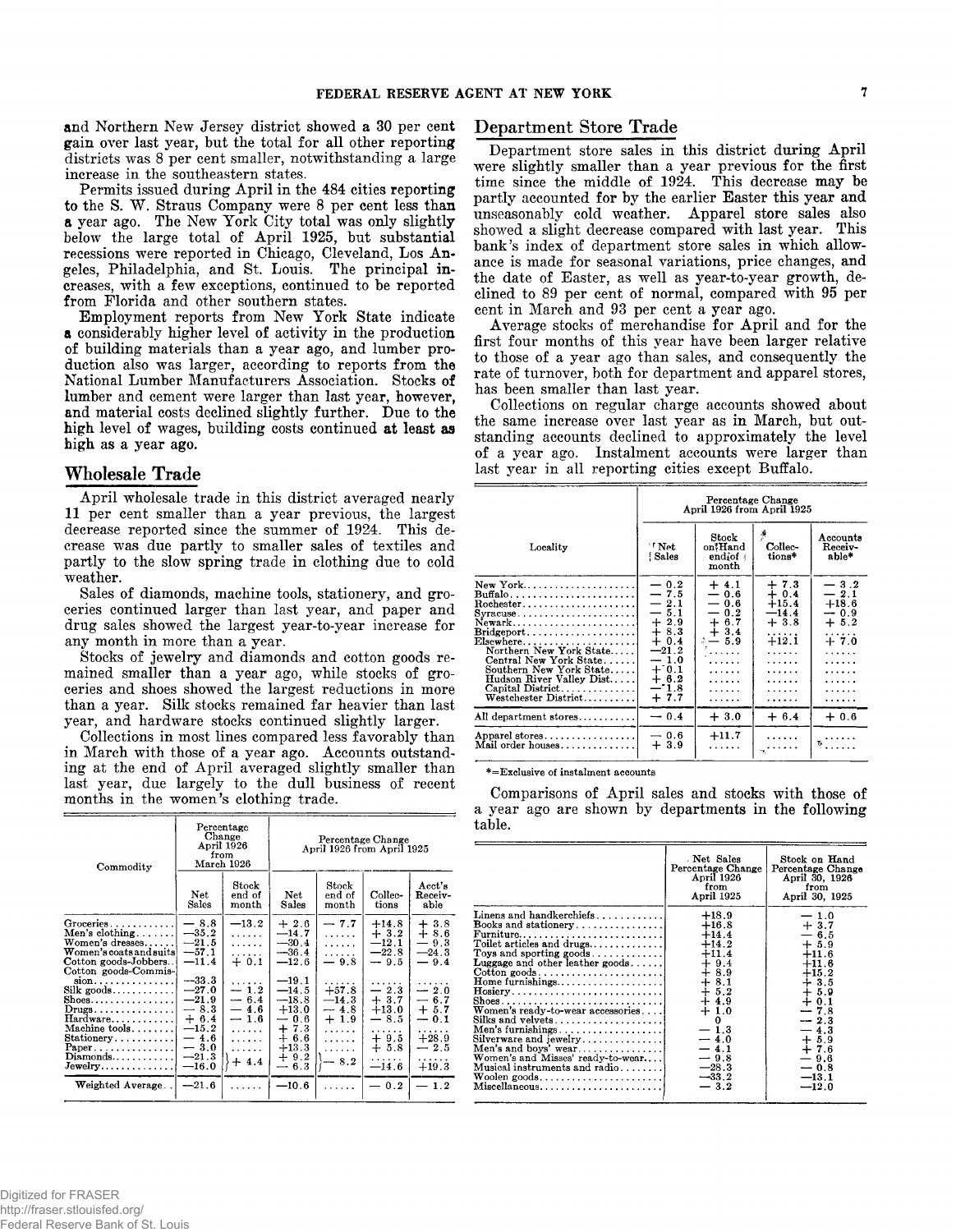and Northern New Jersey district showed a 30 per cent gain over last year, but the total for all other reporting districts was 8 per cent smaller, notwithstanding a large increase in the southeastern states.

Permits issued during April in the 484 cities reporting to the S. W. Straus Company were 8 per cent less than a year ago. The New York City total was only slightly below the large total of April 1925, but substantial recessions were reported in Chicago, Cleveland, Los Angeles, Philadelphia, and St. Louis. The principal increases, with a few exceptions, continued to be reported from Florida and other southern states.

Employment reports from New York State indicate a considerably higher level of activity in the production of building materials than a year ago, and lumber production also was larger, according to reports from the National Lumber Manufacturers Association. Stocks of lumber and cement were larger than last year, however, and material costs declined slightly further. Due to the high level of wages, building costs continued at least as high as a year ago.

### Wholesale Trade

April wholesale trade in this district averaged nearly 11 per cent smaller than a year previous, the largest decrease reported since the summer of 1924. This decrease was due partly to smaller sales of textiles and partly to the slow spring trade in clothing due to cold weather.

Sales of diamonds, machine tools, stationery, and groceries continued larger than last year, and paper and drug sales showed the largest year-to-year increase for any month in more than a year.

Stocks of jewelry and diamonds and cotton goods remained smaller than a year ago, while stocks of groceries and shoes showed the largest reductions in more than a year. Silk stocks remained far heavier than last year, and hardware stocks continued slightly larger.

Collections in most lines compared less favorably than in March with those of a year ago. Accounts outstanding at the end of April averaged slightly smaller than last year, due largely to the dull business of recent months in the women's clothing trade.

| Commodity                                                                                                                                                                                                          | from                                                                                                   | Percentage<br>Change<br>April 1926<br>March 1926                   |                                                                                                                                            | April 1926 from April 1925                                   | Percentage Change                                                      |                                                                                |
|--------------------------------------------------------------------------------------------------------------------------------------------------------------------------------------------------------------------|--------------------------------------------------------------------------------------------------------|--------------------------------------------------------------------|--------------------------------------------------------------------------------------------------------------------------------------------|--------------------------------------------------------------|------------------------------------------------------------------------|--------------------------------------------------------------------------------|
|                                                                                                                                                                                                                    | Net<br>Sales                                                                                           | Stock<br>end of<br>month                                           | Net<br>Sales                                                                                                                               | Stock<br>end of<br>month                                     | Collec-<br>tions                                                       | Acct's<br>Receiv-<br>able                                                      |
| Groceries.<br>Men's clothing<br>Women's dresses<br>Women's coats and suits<br>Cotton goods-Jobbers<br>Cotton goods-Commis-                                                                                         | $-8.8$<br>$-35.2$<br>$-21.5$<br>$-57.1$<br>$-11.4$                                                     | $-13.2$<br>.<br>.<br>.<br>$+0.1$                                   | $+2.6$<br>$-14.7$<br>$-30.4$<br>$-36.4$<br>$-12.6$                                                                                         | $-7.7$<br>.<br>.<br>.<br>$-9.8$                              | $+14.8$<br>$+3.2$<br>$-12.1$<br>$-22.8$<br>$-9.5$                      | $+3.8$<br>$+8.6$<br>$-9.3$<br>$-24.3$<br>$-9.4$                                |
| $sion$<br>$Silk$ goods<br>$\text{Shoes} \dots \dots \dots \dots \dots$<br>$Drugs \ldots \ldots \ldots \ldots$<br>Hardware<br>Machine $tools$<br>Stationery<br>Paper.<br>$Diamonds \ldots \ldots \ldots$<br>Jewelry | $-33.3$<br>$-27.0$<br>$-21.9$<br>$-8.3$<br>$+6.4$<br>$-15.2$<br>$-4.6$<br>$-3.0$<br>$-21.3$<br>$-16.0$ | .<br>$-1.2$<br>$-6.4$<br>$-4.6$<br>$-1.6$<br>.<br>.<br>.<br>$+4.4$ | $-19.1$<br>$-14.5$<br>$-18.8$<br>$+13.0$<br>$-0.6$<br>$+7.3$<br>$^{+}$<br>6.6<br>$+13.3$<br>$+9.2$<br>6.3<br>$\overbrace{\phantom{aaaaa}}$ | $+57.8$<br>$-14.3$<br>$-4.8$<br>$+1.9$<br>.<br>.<br>.<br>8.2 | $-2.3$<br>$+3.7$<br>$+13.0$<br>8.5<br>—<br>$+9.5$<br>$+5.8$<br>$-14.6$ | $-2.0$<br>$-6.7$<br>$+5.7$<br>$-0.1$<br>.<br>$+28.9$<br>$-2.5$<br>.<br>$+19.3$ |
| Weighted Average                                                                                                                                                                                                   | $-21.6$                                                                                                |                                                                    | $-10.6$                                                                                                                                    |                                                              | 0.2                                                                    | $-1.2$                                                                         |

# Department Store Trade

Department store sales in this district during April were slightly smaller than a year previous for the first time since the middle of 1924. This decrease may be partly accounted for by the earlier Easter this year and unseasonably cold weather. Apparel store sales also showed a slight decrease compared with last year. This bank's index of department store sales in which allowance is made for seasonal variations, price changes, and the date of Easter, as well as year-to-year growth, declined to 89 per cent of normal, compared with 95 per cent in March and 93 per cent a year ago.

Average stocks of merchandise for April and for the first four months of this year have been larger relative to those of a year ago than sales, and consequently the rate of turnover, both for department and apparel stores, has been smaller than last year.

Collections on regular charge accounts showed about the same increase over last year as in March, but outstanding accounts declined to approximately the level of a year ago. Instalment accounts were larger than last year in all reporting cities except Buffalo.

|                                                                                                                                                                                                                                                  | Percentage Change<br>April 1926 from April 1925                                                                                  |                                                                                                                                                        |                                                                                                         |                                                                                                      |  |
|--------------------------------------------------------------------------------------------------------------------------------------------------------------------------------------------------------------------------------------------------|----------------------------------------------------------------------------------------------------------------------------------|--------------------------------------------------------------------------------------------------------------------------------------------------------|---------------------------------------------------------------------------------------------------------|------------------------------------------------------------------------------------------------------|--|
| Locality                                                                                                                                                                                                                                         | $\lq$ Net<br>Sales!                                                                                                              | Stock<br>on*Hand<br>$endiof$ :<br>month                                                                                                                | P<br>Collec-<br>tions*                                                                                  | Accounts<br>Receiv-<br>able*                                                                         |  |
| New York<br>Buffalo<br>$Rochester.$<br>Newark<br>$Elsewhere \ldots \ldots \ldots \ldots$<br>Northern New York State<br>Central New York State<br>Southern New York State<br>Hudson River Valley Dist<br>Capital District<br>Westchester District | $-0.2$<br>$-7.5$<br>$-2.1$<br>$-5.1$<br>$+2.9$<br>$+8.3$<br>$+0.4$<br>$-21.2$<br>$-1.0$<br>$+10.1$<br>$+3.2$<br>$-1.8$<br>$+7.7$ | $+4.1$<br>$-0.6$<br>$-0.6$<br>$-0.2$<br>$+ 6.7$<br>$+3.4$<br>$\sim -5.9$<br>$\alpha$ , $\alpha$ , $\alpha$ , $\alpha$<br>1.1.1.1.1<br>.<br>.<br>.<br>. | $+7.3$<br>$+0.4$<br>$+15.4$<br>$-14.4$<br>$+3.8$<br>.<br>$+12.1$<br>.<br>.<br>.<br>.<br>.<br>. <b>.</b> | $-3.2$<br>$-2.1$<br>$+18.6$<br>$-0.9$<br>$+5.2$<br>.<br>$+7.0$<br>1.1.1.1.1<br>.<br>.<br>.<br>.<br>. |  |
| All department stores                                                                                                                                                                                                                            | $-0.4$                                                                                                                           | $+3.0$                                                                                                                                                 | $+6.4$                                                                                                  | $+0.6$                                                                                               |  |
| Apparel stores<br>Mail order houses                                                                                                                                                                                                              | $-0.6$<br>$+3.9$                                                                                                                 | $+11.7$<br>.                                                                                                                                           |                                                                                                         |                                                                                                      |  |

\*=Exclusive of instalment accounts

Comparisons of April sales and stocks with those of a year ago are shown by departments in the following table.

|                                                                                                                                                                                                                                                                                                                                                                                                                                                                                                                                                                  | Net Sales<br>Percentage Change<br>April 1926<br>from<br>April 1925                                                                                                                                                        | Stock on Hand<br>Percentage Change<br>April 30, 1926<br>from<br>April 30, 1925                                                                                                                   |
|------------------------------------------------------------------------------------------------------------------------------------------------------------------------------------------------------------------------------------------------------------------------------------------------------------------------------------------------------------------------------------------------------------------------------------------------------------------------------------------------------------------------------------------------------------------|---------------------------------------------------------------------------------------------------------------------------------------------------------------------------------------------------------------------------|--------------------------------------------------------------------------------------------------------------------------------------------------------------------------------------------------|
| Linens and handkerchiefs<br>Books and stationery<br>$\text{Furniture} \dots \dots \dots \dots \dots \dots \dots \dots$<br>Toilet articles and drugs<br>Toys and sporting goods<br>Luggage and other leather goods<br>$Cotten \text{ goods} \dots \dots \dots \dots \dots \dots \dots \dots$<br>Home furnishings<br>$Hosiery$<br>Women's ready-to-wear accessories<br>Silks and velvets $\dots\dots\dots\dots\dots\dots$<br>Silverware and jewelry<br>Men's and boys' wear<br>Women's and Misses' ready-to-wear<br>Musical instruments and radio<br>Miscellaneous | $+18.9$<br>$+16.8$<br>$+14.4$<br>$+14.2$<br>$+11.4$<br>$+9.4$<br>$+8.9$<br>$+$ $\frac{8}{1}$<br>$+$ $\frac{8}{2}$<br>$+4.9$<br>$+1.0$<br>$\Omega$<br>$-1.3$<br>$-4.0$<br>$-4.1$<br>$-9.8$<br>$-28.3$<br>$-33.2$<br>$-3.2$ | $-1.0$<br>$+3.7$<br>$-6.5$<br>$+ 5.9$<br>$+11.6$<br>$+11.6$<br>$+15.2$<br>$+3.5$<br>$+5.9$<br>$+0.1$<br>$-7.8$<br>$-2.3$<br>$-4.3$<br>$+5.9$<br>$+7.6$<br>$-9.6$<br>$-0.8$<br>$-13.1$<br>$-12.0$ |